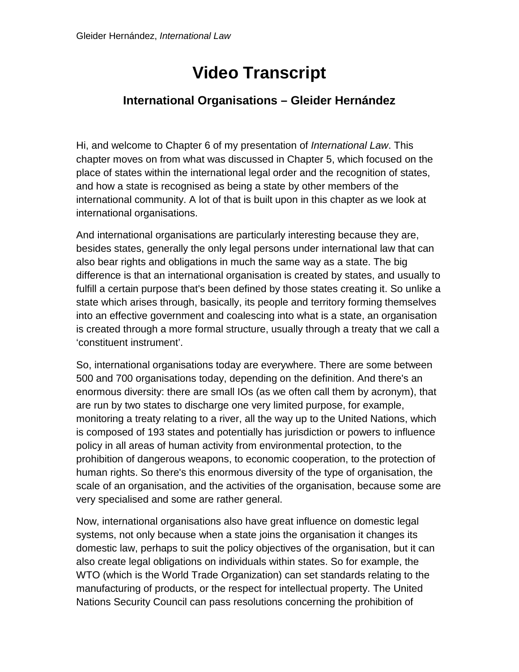## **Video Transcript**

## **International Organisations – Gleider Hernández**

Hi, and welcome to Chapter 6 of my presentation of *International Law*. This chapter moves on from what was discussed in Chapter 5, which focused on the place of states within the international legal order and the recognition of states, and how a state is recognised as being a state by other members of the international community. A lot of that is built upon in this chapter as we look at international organisations.

And international organisations are particularly interesting because they are, besides states, generally the only legal persons under international law that can also bear rights and obligations in much the same way as a state. The big difference is that an international organisation is created by states, and usually to fulfill a certain purpose that's been defined by those states creating it. So unlike a state which arises through, basically, its people and territory forming themselves into an effective government and coalescing into what is a state, an organisation is created through a more formal structure, usually through a treaty that we call a 'constituent instrument'.

So, international organisations today are everywhere. There are some between 500 and 700 organisations today, depending on the definition. And there's an enormous diversity: there are small IOs (as we often call them by acronym), that are run by two states to discharge one very limited purpose, for example, monitoring a treaty relating to a river, all the way up to the United Nations, which is composed of 193 states and potentially has jurisdiction or powers to influence policy in all areas of human activity from environmental protection, to the prohibition of dangerous weapons, to economic cooperation, to the protection of human rights. So there's this enormous diversity of the type of organisation, the scale of an organisation, and the activities of the organisation, because some are very specialised and some are rather general.

Now, international organisations also have great influence on domestic legal systems, not only because when a state joins the organisation it changes its domestic law, perhaps to suit the policy objectives of the organisation, but it can also create legal obligations on individuals within states. So for example, the WTO (which is the World Trade Organization) can set standards relating to the manufacturing of products, or the respect for intellectual property. The United Nations Security Council can pass resolutions concerning the prohibition of